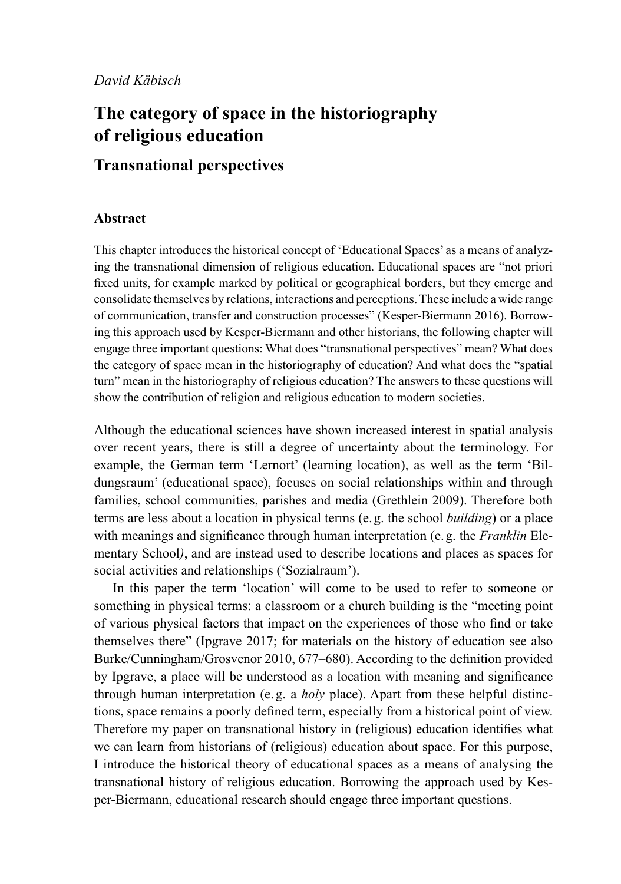# **The category of space in the historiography of religious education**

## **Transnational perspectives**

### **Abstract**

This chapter introduces the historical concept of 'Educational Spaces' as a means of analyzing the transnational dimension of religious education. Educational spaces are "not priori fxed units, for example marked by political or geographical borders, but they emerge and consolidate themselves by relations, interactions and perceptions. These include a wide range of communication, transfer and construction processes" (Kesper-Biermann 2016). Borrowing this approach used by Kesper-Biermann and other historians, the following chapter will engage three important questions: What does "transnational perspectives" mean? What does the category of space mean in the historiography of education? And what does the "spatial turn" mean in the historiography of religious education? The answers to these questions will show the contribution of religion and religious education to modern societies.

Although the educational sciences have shown increased interest in spatial analysis over recent years, there is still a degree of uncertainty about the terminology. For example, the German term 'Lernort' (learning location), as well as the term 'Bildungsraum' (educational space), focuses on social relationships within and through families, school communities, parishes and media (Grethlein 2009). Therefore both terms are less about a location in physical terms (e.g. the school *building*) or a place with meanings and signifcance through human interpretation (e.g. the *Franklin* Elementary School*)*, and are instead used to describe locations and places as spaces for social activities and relationships ('Sozialraum').

In this paper the term 'location' will come to be used to refer to someone or something in physical terms: a classroom or a church building is the "meeting point of various physical factors that impact on the experiences of those who fnd or take themselves there" (Ipgrave 2017; for materials on the history of education see also Burke/Cunningham/Grosvenor 2010, 677–680). According to the defnition provided by Ipgrave, a place will be understood as a location with meaning and signifcance through human interpretation (e.g. a *holy* place). Apart from these helpful distinctions, space remains a poorly defned term, especially from a historical point of view. Therefore my paper on transnational history in (religious) education identifes what we can learn from historians of (religious) education about space. For this purpose, I introduce the historical theory of educational spaces as a means of analysing the transnational history of religious education. Borrowing the approach used by Kesper-Biermann, educational research should engage three important questions.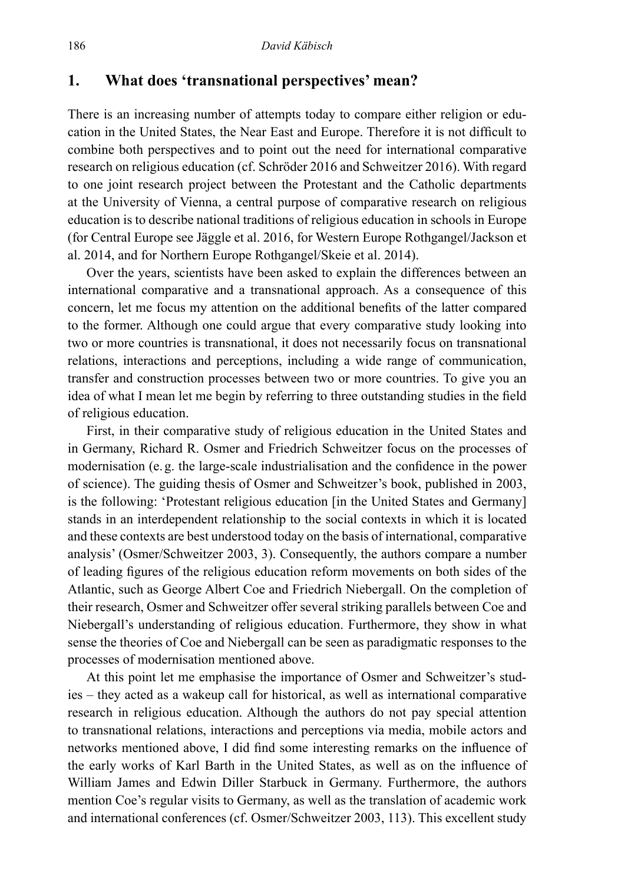### **1. What does 'transnational perspectives' mean?**

There is an increasing number of attempts today to compare either religion or education in the United States, the Near East and Europe. Therefore it is not diffcult to combine both perspectives and to point out the need for international comparative research on religious education (cf. Schröder 2016 and Schweitzer 2016). With regard to one joint research project between the Protestant and the Catholic departments at the University of Vienna, a central purpose of comparative research on religious education is to describe national traditions of religious education in schools in Europe (for Central Europe see Jäggle et al. 2016, for Western Europe Rothgangel/Jackson et al. 2014, and for Northern Europe Rothgangel/Skeie et al. 2014).

Over the years, scientists have been asked to explain the differences between an international comparative and a transnational approach. As a consequence of this concern, let me focus my attention on the additional benefts of the latter compared to the former. Although one could argue that every comparative study looking into two or more countries is transnational, it does not necessarily focus on transnational relations, interactions and perceptions, including a wide range of communication, transfer and construction processes between two or more countries. To give you an idea of what I mean let me begin by referring to three outstanding studies in the feld of religious education.

First, in their comparative study of religious education in the United States and in Germany, Richard R. Osmer and Friedrich Schweitzer focus on the processes of modernisation (e.g. the large-scale industrialisation and the confdence in the power of science). The guiding thesis of Osmer and Schweitzer's book, published in 2003, is the following: 'Protestant religious education [in the United States and Germany] stands in an interdependent relationship to the social contexts in which it is located and these contexts are best understood today on the basis of international, comparative analysis' (Osmer/Schweitzer 2003, 3). Consequently, the authors compare a number of leading fgures of the religious education reform movements on both sides of the Atlantic, such as George Albert Coe and Friedrich Niebergall. On the completion of their research, Osmer and Schweitzer offer several striking parallels between Coe and Niebergall's understanding of religious education. Furthermore, they show in what sense the theories of Coe and Niebergall can be seen as paradigmatic responses to the processes of modernisation mentioned above.

At this point let me emphasise the importance of Osmer and Schweitzer's studies – they acted as a wakeup call for historical, as well as international comparative research in religious education. Although the authors do not pay special attention to transnational relations, interactions and perceptions via media, mobile actors and networks mentioned above, I did fnd some interesting remarks on the infuence of the early works of Karl Barth in the United States, as well as on the infuence of William James and Edwin Diller Starbuck in Germany. Furthermore, the authors mention Coe's regular visits to Germany, as well as the translation of academic work and international conferences (cf. Osmer/Schweitzer 2003, 113). This excellent study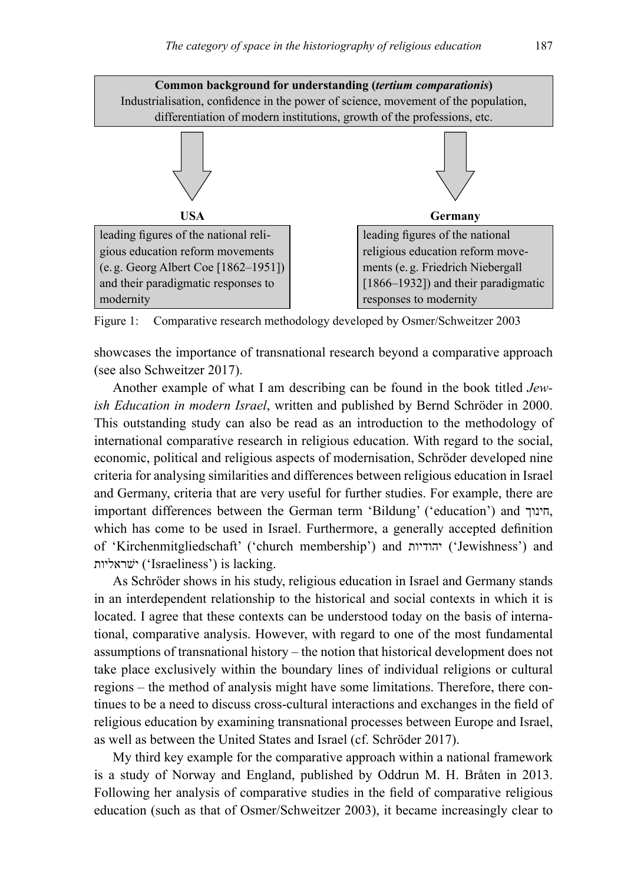

Figure 1: Comparative research methodology developed by Osmer/Schweitzer 2003

showcases the importance of transnational research beyond a comparative approach (see also Schweitzer 2017).

Another example of what I am describing can be found in the book titled *Jewish Education in modern Israel*, written and published by Bernd Schröder in 2000. This outstanding study can also be read as an introduction to the methodology of international comparative research in religious education. With regard to the social, economic, political and religious aspects of modernisation, Schröder developed nine criteria for analysing similarities and differences between religious education in Israel and Germany, criteria that are very useful for further studies. For example, there are important differences between the German term 'Bildung' ('education') and חינוך, which has come to be used in Israel. Furthermore, a generally accepted defnition of 'Kirchenmitgliedschaft' ('church membership') and יהודיות') Jewishness') and ישׁראליות') Israeliness') is lacking.

As Schröder shows in his study, religious education in Israel and Germany stands in an interdependent relationship to the historical and social contexts in which it is located. I agree that these contexts can be understood today on the basis of international, comparative analysis. However, with regard to one of the most fundamental assumptions of transnational history – the notion that historical development does not take place exclusively within the boundary lines of individual religions or cultural regions – the method of analysis might have some limitations. Therefore, there continues to be a need to discuss cross-cultural interactions and exchanges in the feld of religious education by examining transnational processes between Europe and Israel, as well as between the United States and Israel (cf. Schröder 2017).

My third key example for the comparative approach within a national framework is a study of Norway and England, published by Oddrun M. H. Bråten in 2013. Following her analysis of comparative studies in the feld of comparative religious education (such as that of Osmer/Schweitzer 2003), it became increasingly clear to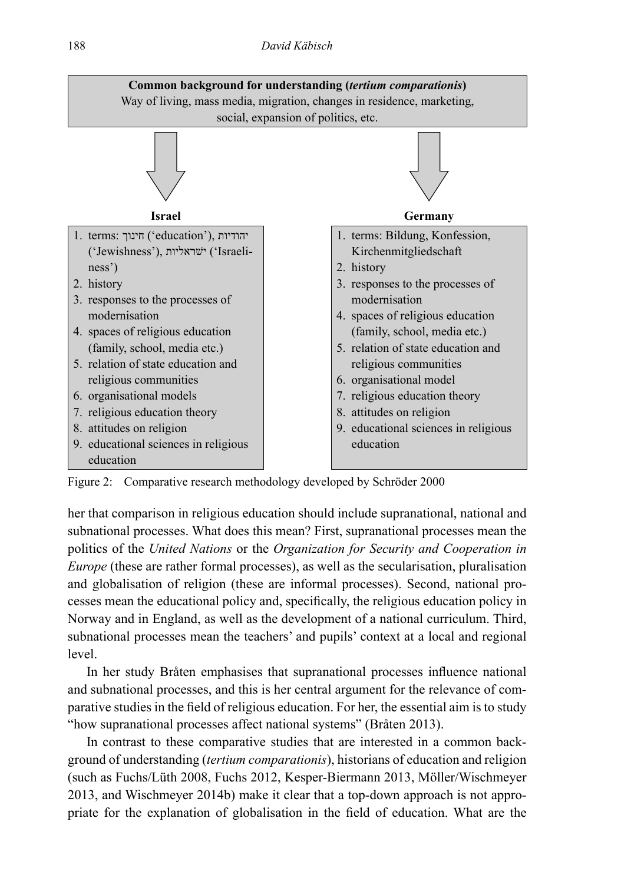#### 188 *David Käbisch*



Figure 2: Comparative research methodology developed by Schröder 2000

her that comparison in religious education should include supranational, national and subnational processes. What does this mean? First, supranational processes mean the politics of the *United Nations* or the *Organization for Security and Cooperation in Europe* (these are rather formal processes), as well as the secularisation, pluralisation and globalisation of religion (these are informal processes). Second, national processes mean the educational policy and, specifcally, the religious education policy in Norway and in England, as well as the development of a national curriculum. Third, subnational processes mean the teachers' and pupils' context at a local and regional level.

In her study Bråten emphasises that supranational processes infuence national and subnational processes, and this is her central argument for the relevance of comparative studies in the feld of religious education. For her, the essential aim is to study "how supranational processes affect national systems" (Bråten 2013).

In contrast to these comparative studies that are interested in a common background of understanding (*tertium comparationis*), historians of education and religion (such as Fuchs/Lüth 2008, Fuchs 2012, Kesper-Biermann 2013, Möller/Wischmeyer 2013, and Wischmeyer 2014b) make it clear that a top-down approach is not appropriate for the explanation of globalisation in the feld of education. What are the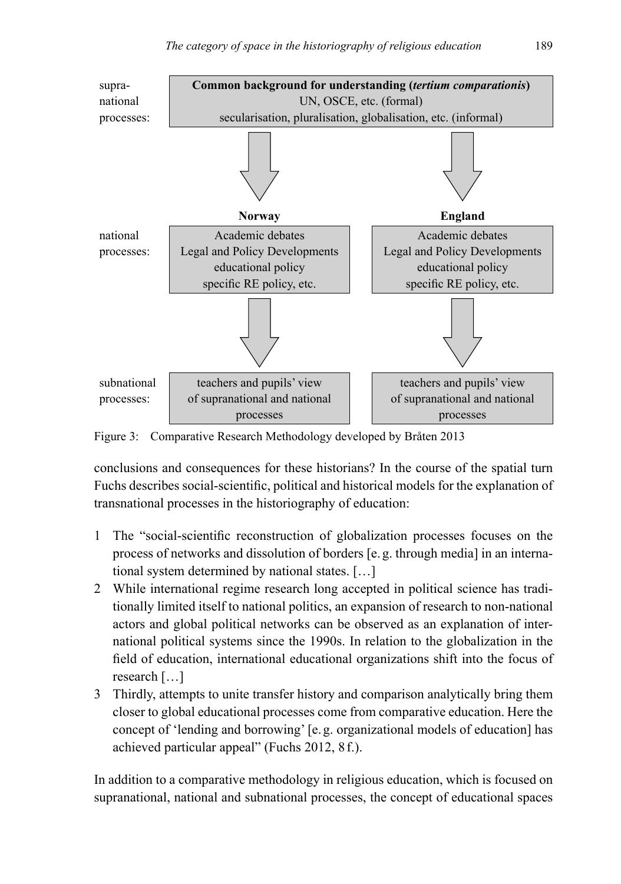

Figure 3: Comparative Research Methodology developed by Bråten 2013

conclusions and consequences for these historians? In the course of the spatial turn Fuchs describes social-scientifc, political and historical models for the explanation of transnational processes in the historiography of education:

- 1 The "social-scientifc reconstruction of globalization processes focuses on the process of networks and dissolution of borders [e.g. through media] in an international system determined by national states. […]
- 2 While international regime research long accepted in political science has traditionally limited itself to national politics, an expansion of research to non-national actors and global political networks can be observed as an explanation of international political systems since the 1990s. In relation to the globalization in the feld of education, international educational organizations shift into the focus of research […]
- 3 Thirdly, attempts to unite transfer history and comparison analytically bring them closer to global educational processes come from comparative education. Here the concept of 'lending and borrowing' [e.g. organizational models of education] has achieved particular appeal" (Fuchs 2012, 8f.).

In addition to a comparative methodology in religious education, which is focused on supranational, national and subnational processes, the concept of educational spaces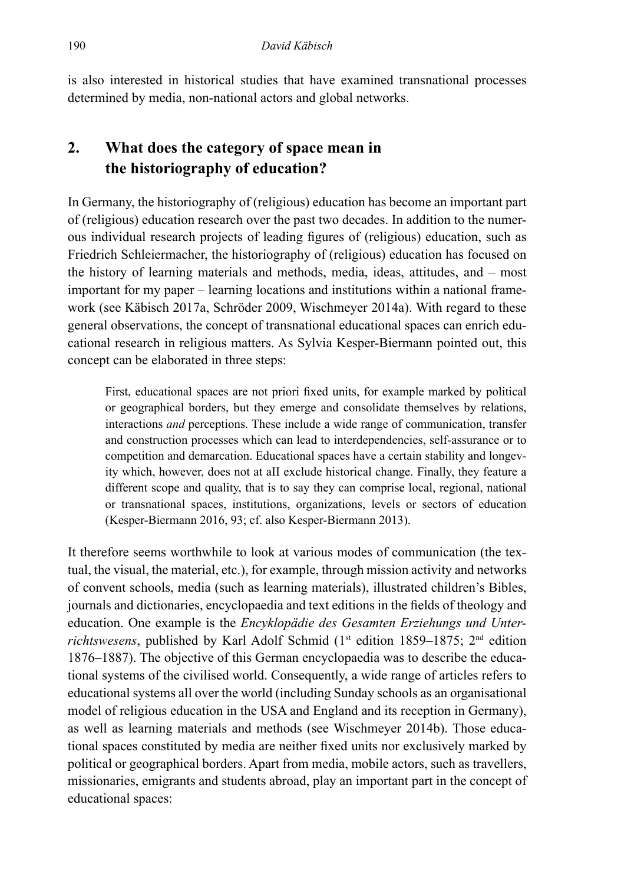is also interested in historical studies that have examined transnational processes determined by media, non-national actors and global networks.

## **2. What does the category of space mean in the historiography of education?**

In Germany, the historiography of (religious) education has become an important part of (religious) education research over the past two decades. In addition to the numerous individual research projects of leading fgures of (religious) education, such as Friedrich Schleiermacher, the historiography of (religious) education has focused on the history of learning materials and methods, media, ideas, attitudes, and – most important for my paper – learning locations and institutions within a national framework (see Käbisch 2017a, Schröder 2009, Wischmeyer 2014a). With regard to these general observations, the concept of transnational educational spaces can enrich educational research in religious matters. As Sylvia Kesper-Biermann pointed out, this concept can be elaborated in three steps:

First, educational spaces are not priori fxed units, for example marked by political or geographical borders, but they emerge and consolidate themselves by relations, interactions *and* perceptions. These include a wide range of communication, transfer and construction processes which can lead to interdependencies, self-assurance or to competition and demarcation. Educational spaces have a certain stability and longevity which, however, does not at aII exclude historical change. Finally, they feature a different scope and quality, that is to say they can comprise local, regional, national or transnational spaces, institutions, organizations, levels or sectors of education (Kesper-Biermann 2016, 93; cf. also Kesper-Biermann 2013).

It therefore seems worthwhile to look at various modes of communication (the textual, the visual, the material, etc.), for example, through mission activity and networks of convent schools, media (such as learning materials), illustrated children's Bibles, journals and dictionaries, encyclopaedia and text editions in the felds of theology and education. One example is the *Encyklopädie des Gesamten Erziehungs und Unter*richtswesens, published by Karl Adolf Schmid (1<sup>st</sup> edition 1859–1875; 2<sup>nd</sup> edition 1876–1887). The objective of this German encyclopaedia was to describe the educational systems of the civilised world. Consequently, a wide range of articles refers to educational systems all over the world (including Sunday schools as an organisational model of religious education in the USA and England and its reception in Germany), as well as learning materials and methods (see Wischmeyer 2014b). Those educational spaces constituted by media are neither fxed units nor exclusively marked by political or geographical borders. Apart from media, mobile actors, such as travellers, missionaries, emigrants and students abroad, play an important part in the concept of educational spaces: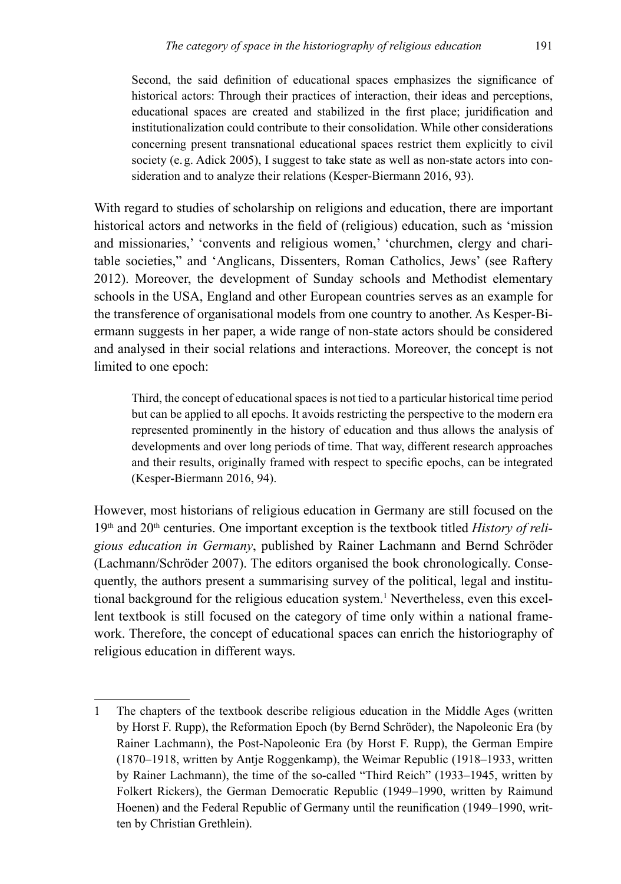Second, the said defnition of educational spaces emphasizes the signifcance of historical actors: Through their practices of interaction, their ideas and perceptions, educational spaces are created and stabilized in the frst place; juridifcation and institutionalization could contribute to their consolidation. While other considerations concerning present transnational educational spaces restrict them explicitly to civil society (e.g. Adick 2005), I suggest to take state as well as non-state actors into consideration and to analyze their relations (Kesper-Biermann 2016, 93).

With regard to studies of scholarship on religions and education, there are important historical actors and networks in the feld of (religious) education, such as 'mission and missionaries,' 'convents and religious women,' 'churchmen, clergy and charitable societies," and 'Anglicans, Dissenters, Roman Catholics, Jews' (see Raftery 2012). Moreover, the development of Sunday schools and Methodist elementary schools in the USA, England and other European countries serves as an example for the transference of organisational models from one country to another. As Kesper-Biermann suggests in her paper, a wide range of non-state actors should be considered and analysed in their social relations and interactions. Moreover, the concept is not limited to one epoch:

Third, the concept of educational spaces is not tied to a particular historical time period but can be applied to all epochs. It avoids restricting the perspective to the modern era represented prominently in the history of education and thus allows the analysis of developments and over long periods of time. That way, different research approaches and their results, originally framed with respect to specifc epochs, can be integrated (Kesper-Biermann 2016, 94).

However, most historians of religious education in Germany are still focused on the 19<sup>th</sup> and 20<sup>th</sup> centuries. One important exception is the textbook titled *History of religious education in Germany*, published by Rainer Lachmann and Bernd Schröder (Lachmann/Schröder 2007). The editors organised the book chronologically. Consequently, the authors present a summarising survey of the political, legal and institutional background for the religious education system.<sup>1</sup> Nevertheless, even this excellent textbook is still focused on the category of time only within a national framework. Therefore, the concept of educational spaces can enrich the historiography of religious education in different ways.

<sup>1</sup> The chapters of the textbook describe religious education in the Middle Ages (written by Horst F. Rupp), the Reformation Epoch (by Bernd Schröder), the Napoleonic Era (by Rainer Lachmann), the Post-Napoleonic Era (by Horst F. Rupp), the German Empire (1870–1918, written by Antje Roggenkamp), the Weimar Republic (1918–1933, written by Rainer Lachmann), the time of the so-called "Third Reich" (1933–1945, written by Folkert Rickers), the German Democratic Republic (1949–1990, written by Raimund Hoenen) and the Federal Republic of Germany until the reunifcation (1949–1990, written by Christian Grethlein).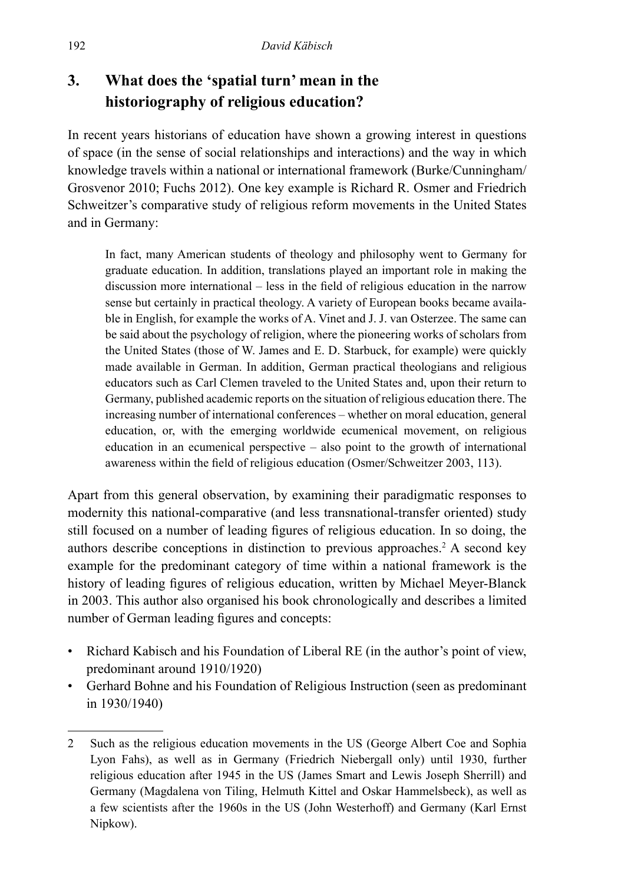## **3. What does the 'spatial turn' mean in the historiography of religious education?**

In recent years historians of education have shown a growing interest in questions of space (in the sense of social relationships and interactions) and the way in which knowledge travels within a national or international framework (Burke/Cunningham/ Grosvenor 2010; Fuchs 2012). One key example is Richard R. Osmer and Friedrich Schweitzer's comparative study of religious reform movements in the United States and in Germany:

In fact, many American students of theology and philosophy went to Germany for graduate education. In addition, translations played an important role in making the discussion more international – less in the feld of religious education in the narrow sense but certainly in practical theology. A variety of European books became available in English, for example the works of A. Vinet and J. J. van Osterzee. The same can be said about the psychology of religion, where the pioneering works of scholars from the United States (those of W. James and E. D. Starbuck, for example) were quickly made available in German. In addition, German practical theologians and religious educators such as Carl Clemen traveled to the United States and, upon their return to Germany, published academic reports on the situation of religious education there. The increasing number of international conferences – whether on moral education, general education, or, with the emerging worldwide ecumenical movement, on religious education in an ecumenical perspective – also point to the growth of international awareness within the feld of religious education (Osmer/Schweitzer 2003, 113).

Apart from this general observation, by examining their paradigmatic responses to modernity this national-comparative (and less transnational-transfer oriented) study still focused on a number of leading fgures of religious education. In so doing, the authors describe conceptions in distinction to previous approaches.<sup>2</sup> A second key example for the predominant category of time within a national framework is the history of leading fgures of religious education, written by Michael Meyer-Blanck in 2003. This author also organised his book chronologically and describes a limited number of German leading fgures and concepts:

- Richard Kabisch and his Foundation of Liberal RE (in the author's point of view, predominant around 1910/1920)
- Gerhard Bohne and his Foundation of Religious Instruction (seen as predominant in 1930/1940)

<sup>2</sup> Such as the religious education movements in the US (George Albert Coe and Sophia Lyon Fahs), as well as in Germany (Friedrich Niebergall only) until 1930, further religious education after 1945 in the US (James Smart and Lewis Joseph Sherrill) and Germany (Magdalena von Tiling, Helmuth Kittel and Oskar Hammelsbeck), as well as a few scientists after the 1960s in the US (John Westerhoff) and Germany (Karl Ernst Nipkow).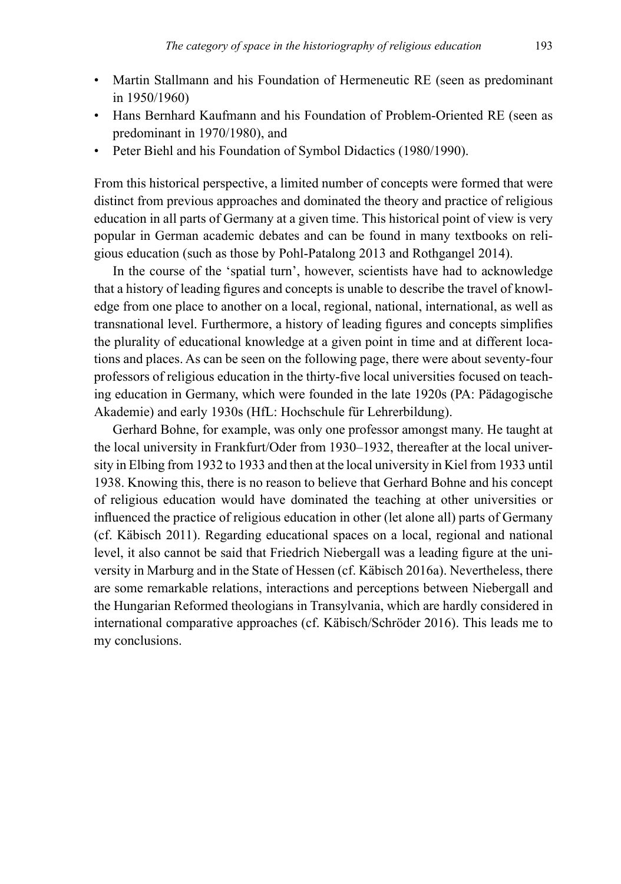- Martin Stallmann and his Foundation of Hermeneutic RE (seen as predominant in 1950/1960)
- Hans Bernhard Kaufmann and his Foundation of Problem-Oriented RE (seen as predominant in 1970/1980), and
- Peter Biehl and his Foundation of Symbol Didactics (1980/1990).

From this historical perspective, a limited number of concepts were formed that were distinct from previous approaches and dominated the theory and practice of religious education in all parts of Germany at a given time. This historical point of view is very popular in German academic debates and can be found in many textbooks on religious education (such as those by Pohl-Patalong 2013 and Rothgangel 2014).

In the course of the 'spatial turn', however, scientists have had to acknowledge that a history of leading fgures and concepts is unable to describe the travel of knowledge from one place to another on a local, regional, national, international, as well as transnational level. Furthermore, a history of leading fgures and concepts simplifes the plurality of educational knowledge at a given point in time and at different locations and places. As can be seen on the following page, there were about seventy-four professors of religious education in the thirty-fve local universities focused on teaching education in Germany, which were founded in the late 1920s (PA: Pädagogische Akademie) and early 1930s (HfL: Hochschule für Lehrerbildung).

Gerhard Bohne, for example, was only one professor amongst many. He taught at the local university in Frankfurt/Oder from 1930–1932, thereafter at the local university in Elbing from 1932 to 1933 and then at the local university in Kiel from 1933 until 1938. Knowing this, there is no reason to believe that Gerhard Bohne and his concept of religious education would have dominated the teaching at other universities or infuenced the practice of religious education in other (let alone all) parts of Germany (cf. Käbisch 2011). Regarding educational spaces on a local, regional and national level, it also cannot be said that Friedrich Niebergall was a leading fgure at the university in Marburg and in the State of Hessen (cf. Käbisch 2016a). Nevertheless, there are some remarkable relations, interactions and perceptions between Niebergall and the Hungarian Reformed theologians in Transylvania, which are hardly considered in international comparative approaches (cf. Käbisch/Schröder 2016). This leads me to my conclusions.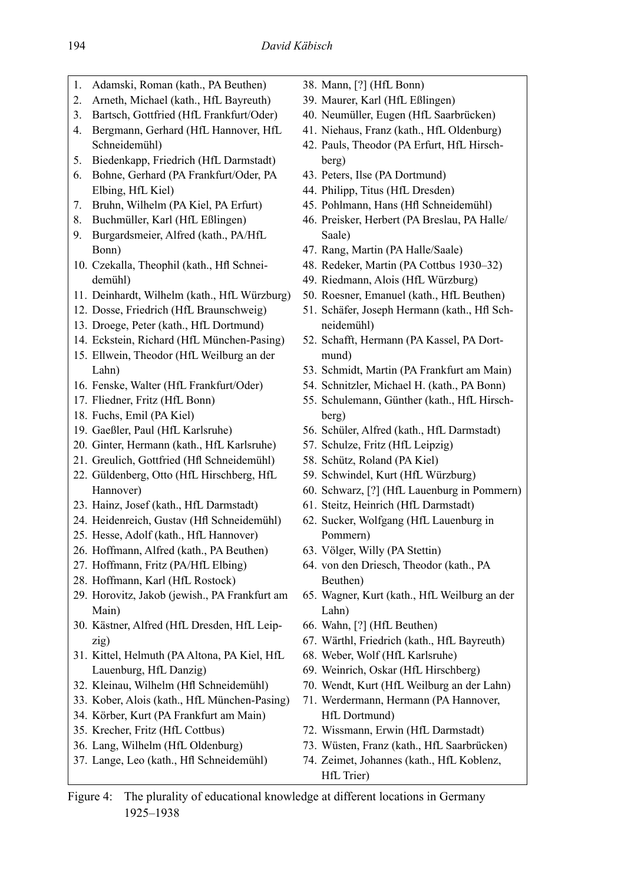- 1. Adamski, Roman (kath., PA Beuthen)
- 2. Arneth, Michael (kath., HfL Bayreuth)
- 3. Bartsch, Gottfried (HfL Frankfurt/Oder)
- 4. Bergmann, Gerhard (HfL Hannover, HfL Schneidemühl)
- 5. Biedenkapp, Friedrich (HfL Darmstadt)
- 6. Bohne, Gerhard (PA Frankfurt/Oder, PA Elbing, HfL Kiel)
- 7. Bruhn, Wilhelm (PA Kiel, PA Erfurt)
- 8. Buchmüller, Karl (HfL Eßlingen)
- 9. Burgardsmeier, Alfred (kath., PA/HfL Bonn)
- 10. Czekalla, Theophil (kath., Hfl Schneidemühl)
- 11. Deinhardt, Wilhelm (kath., HfL Würzburg)
- 12. Dosse, Friedrich (HfL Braunschweig)
- 13. Droege, Peter (kath., HfL Dortmund)
- 14. Eckstein, Richard (HfL München-Pasing)
- 15. Ellwein, Theodor (HfL Weilburg an der Lahn)
- 16. Fenske, Walter (HfL Frankfurt/Oder)
- 17. Fliedner, Fritz (HfL Bonn)
- 18. Fuchs, Emil (PA Kiel)
- 19. Gaeßler, Paul (HfL Karlsruhe)
- 20. Ginter, Hermann (kath., HfL Karlsruhe)
- 21. Greulich, Gottfried (Hf Schneidemühl)
- 22. Güldenberg, Otto (HfL Hirschberg, HfL Hannover)
- 23. Hainz, Josef (kath., HfL Darmstadt)
- 24. Heidenreich, Gustav (Hfl Schneidemühl)
- 25. Hesse, Adolf (kath., HfL Hannover)
- 26. Hoffmann, Alfred (kath., PA Beuthen)
- 27. Hoffmann, Fritz (PA/HfL Elbing)
- 28. Hoffmann, Karl (HfL Rostock)
- 29. Horovitz, Jakob (jewish., PA Frankfurt am Main)
- 30. Kästner, Alfred (HfL Dresden, HfL Leipzig)
- 31. Kittel, Helmuth (PA Altona, PA Kiel, HfL Lauenburg, HfL Danzig)
- 32. Kleinau, Wilhelm (Hfl Schneidemühl)
- 33. Kober, Alois (kath., HfL München-Pasing)
- 34. Körber, Kurt (PA Frankfurt am Main)
- 35. Krecher, Fritz (HfL Cottbus)
- 36. Lang, Wilhelm (HfL Oldenburg)
- 37. Lange, Leo (kath., Hfl Schneidemühl)
- 38. Mann, [?] (HfL Bonn)
- 39. Maurer, Karl (HfL Eßlingen)
- 40. Neumüller, Eugen (HfL Saarbrücken)
- 41. Niehaus, Franz (kath., HfL Oldenburg)
- 42. Pauls, Theodor (PA Erfurt, HfL Hirschberg)
- 43. Peters, Ilse (PA Dortmund)
- 44. Philipp, Titus (HfL Dresden)
- 45. Pohlmann, Hans (Hf Schneidemühl)
- 46. Preisker, Herbert (PA Breslau, PA Halle/ Saale)
- 47. Rang, Martin (PA Halle/Saale)
- 48. Redeker, Martin (PA Cottbus 1930–32)
- 49. Riedmann, Alois (HfL Würzburg)
- 50. Roesner, Emanuel (kath., HfL Beuthen)
- 51. Schäfer, Joseph Hermann (kath., Hfl Schneidemühl)
- 52. Schafft, Hermann (PA Kassel, PA Dortmund)
- 53. Schmidt, Martin (PA Frankfurt am Main)
- 54. Schnitzler, Michael H. (kath., PA Bonn)
- 55. Schulemann, Günther (kath., HfL Hirschberg)
- 56. Schüler, Alfred (kath., HfL Darmstadt)
- 57. Schulze, Fritz (HfL Leipzig)
- 58. Schütz, Roland (PA Kiel)
- 59. Schwindel, Kurt (HfL Würzburg)
- 60. Schwarz, [?] (HfL Lauenburg in Pommern)
- 61. Steitz, Heinrich (HfL Darmstadt)
- 62. Sucker, Wolfgang (HfL Lauenburg in Pommern)
- 63. Völger, Willy (PA Stettin)
- 64. von den Driesch, Theodor (kath., PA Beuthen)
- 65. Wagner, Kurt (kath., HfL Weilburg an der Lahn)
- 66. Wahn, [?] (HfL Beuthen)
- 67. Wärthl, Friedrich (kath., HfL Bayreuth)
- 68. Weber, Wolf (HfL Karlsruhe)
- 69. Weinrich, Oskar (HfL Hirschberg)
- 70. Wendt, Kurt (HfL Weilburg an der Lahn)
- 71. Werdermann, Hermann (PA Hannover, HfL Dortmund)
- 72. Wissmann, Erwin (HfL Darmstadt)
- 73. Wüsten, Franz (kath., HfL Saarbrücken)
- 74. Zeimet, Johannes (kath., HfL Koblenz, HfL Trier)

Figure 4: The plurality of educational knowledge at different locations in Germany 1925–1938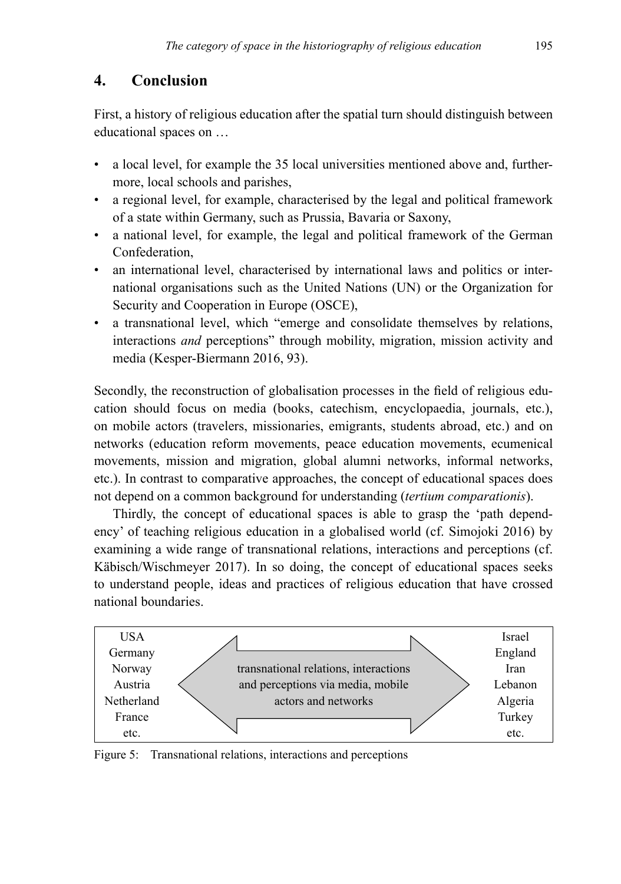## **4. Conclusion**

First, a history of religious education after the spatial turn should distinguish between educational spaces on …

- a local level, for example the 35 local universities mentioned above and, furthermore, local schools and parishes,
- a regional level, for example, characterised by the legal and political framework of a state within Germany, such as Prussia, Bavaria or Saxony,
- a national level, for example, the legal and political framework of the German Confederation,
- an international level, characterised by international laws and politics or international organisations such as the United Nations (UN) or the Organization for Security and Cooperation in Europe (OSCE),
- a transnational level, which "emerge and consolidate themselves by relations, interactions *and* perceptions" through mobility, migration, mission activity and media (Kesper-Biermann 2016, 93).

Secondly, the reconstruction of globalisation processes in the feld of religious education should focus on media (books, catechism, encyclopaedia, journals, etc.), on mobile actors (travelers, missionaries, emigrants, students abroad, etc.) and on networks (education reform movements, peace education movements, ecumenical movements, mission and migration, global alumni networks, informal networks, etc.). In contrast to comparative approaches, the concept of educational spaces does not depend on a common background for understanding (*tertium comparationis*).

Thirdly, the concept of educational spaces is able to grasp the 'path dependency' of teaching religious education in a globalised world (cf. Simojoki 2016) by examining a wide range of transnational relations, interactions and perceptions (cf. Käbisch/Wischmeyer 2017). In so doing, the concept of educational spaces seeks to understand people, ideas and practices of religious education that have crossed national boundaries.



Figure 5: Transnational relations, interactions and perceptions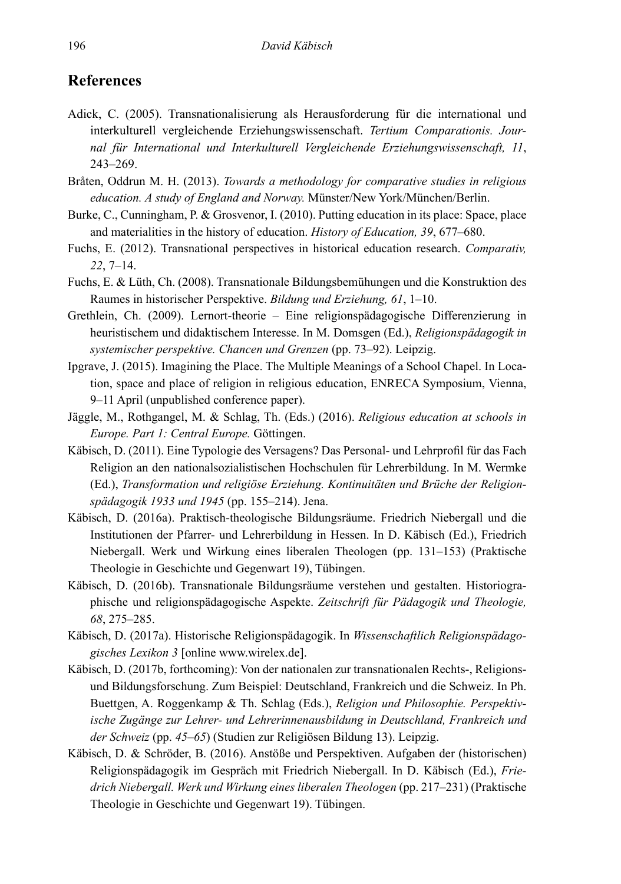## **References**

- Adick, C. (2005). Transnationalisierung als Herausforderung für die international und interkulturell vergleichende Erziehungswissenschaft. *Tertium Comparationis. Journal für International und Interkulturell Vergleichende Erziehungswissenschaft, 11*, 243–269.
- Bråten, Oddrun M. H. (2013). *Towards a methodology for comparative studies in religious education. A study of England and Norway.* Münster/New York/München/Berlin.
- Burke, C., Cunningham, P. & Grosvenor, I. (2010). Putting education in its place: Space, place and materialities in the history of education. *History of Education, 39*, 677–680.
- Fuchs, E. (2012). Transnational perspectives in historical education research. *Comparativ, 22*, 7–14.
- Fuchs, E. & Lüth, Ch. (2008). Transnationale Bildungsbemühungen und die Konstruktion des Raumes in historischer Perspektive. *Bildung und Erziehung, 61*, 1–10.
- Grethlein, Ch. (2009). Lernort-theorie Eine religionspädagogische Differenzierung in heuristischem und didaktischem Interesse. In M. Domsgen (Ed.), *Religionspädagogik in systemischer perspektive. Chancen und Grenzen* (pp. 73–92). Leipzig.
- Ipgrave, J. (2015). Imagining the Place. The Multiple Meanings of a School Chapel. In Location, space and place of religion in religious education, ENRECA Symposium, Vienna, 9–11 April (unpublished conference paper).
- Jäggle, M., Rothgangel, M. & Schlag, Th. (Eds.) (2016). *Religious education at schools in Europe. Part 1: Central Europe.* Göttingen.
- Käbisch, D. (2011). Eine Typologie des Versagens? Das Personal- und Lehrprofl für das Fach Religion an den nationalsozialistischen Hochschulen für Lehrerbildung. In M. Wermke (Ed.), *Transformation und religiöse Erziehung. Kontinuitäten und Brüche der Religionspädagogik 1933 und 1945* (pp. 155–214). Jena.
- Käbisch, D. (2016a). Praktisch-theologische Bildungsräume. Friedrich Niebergall und die Institutionen der Pfarrer- und Lehrerbildung in Hessen. In D. Käbisch (Ed.), Friedrich Niebergall. Werk und Wirkung eines liberalen Theologen (pp. 131–153) (Praktische Theologie in Geschichte und Gegenwart 19), Tübingen.
- Käbisch, D. (2016b). Transnationale Bildungsräume verstehen und gestalten. Historiographische und religionspädagogische Aspekte. *Zeitschrift für Pädagogik und Theologie, 68*, 275–285.
- Käbisch, D. (2017a). Historische Religionspädagogik. In *Wissenschaftlich Religionspädagogisches Lexikon 3* [online www.wirelex.de].
- Käbisch, D. (2017b, forthcoming): Von der nationalen zur transnationalen Rechts-, Religionsund Bildungsforschung. Zum Beispiel: Deutschland, Frankreich und die Schweiz. In Ph. Buettgen, A. Roggenkamp & Th. Schlag (Eds.), *Religion und Philosophie. Perspektivische Zugänge zur Lehrer- und Lehrerinnenausbildung in Deutschland, Frankreich und der Schweiz* (pp. *45–65*) (Studien zur Religiösen Bildung 13). Leipzig.
- Käbisch, D. & Schröder, B. (2016). Anstöße und Perspektiven. Aufgaben der (historischen) Religionspädagogik im Gespräch mit Friedrich Niebergall. In D. Käbisch (Ed.), *Friedrich Niebergall. Werk und Wirkung eines liberalen Theologen* (pp. 217–231) (Praktische Theologie in Geschichte und Gegenwart 19). Tübingen.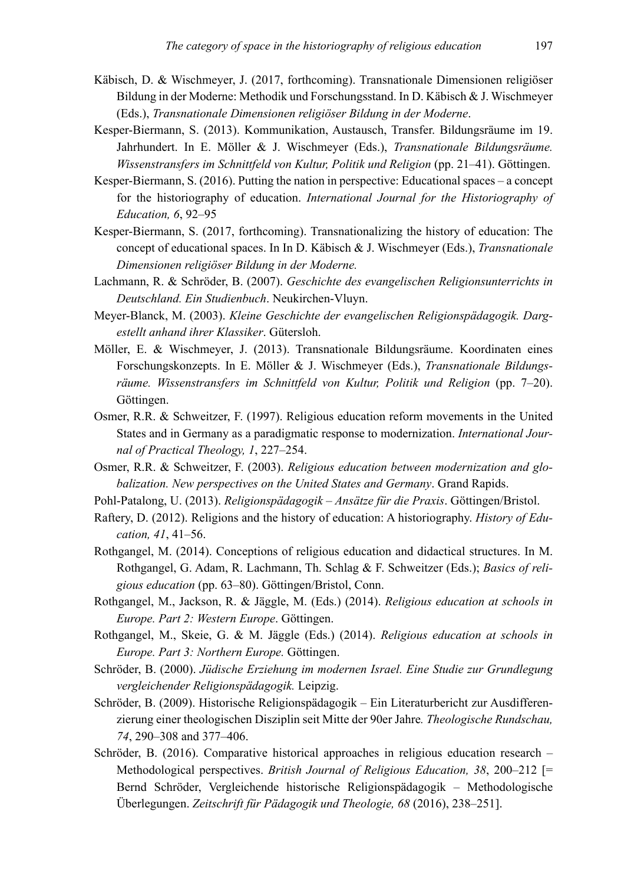- Käbisch, D. & Wischmeyer, J. (2017, forthcoming). Transnationale Dimensionen religiöser Bildung in der Moderne: Methodik und Forschungsstand. In D. Käbisch & J. Wischmeyer (Eds.), *Transnationale Dimensionen religiöser Bildung in der Moderne*.
- Kesper-Biermann, S. (2013). Kommunikation, Austausch, Transfer. Bildungsräume im 19. Jahrhundert. In E. Möller & J. Wischmeyer (Eds.), *Transnationale Bildungsräume. Wissenstransfers im Schnittfeld von Kultur, Politik und Religion* (pp. 21–41). Göttingen.
- Kesper-Biermann, S. (2016). Putting the nation in perspective: Educational spaces a concept for the historiography of education. *International Journal for the Historiography of Education, 6*, 92–95
- Kesper-Biermann, S. (2017, forthcoming). Transnationalizing the history of education: The concept of educational spaces. In In D. Käbisch & J. Wischmeyer (Eds.), *Transnationale Dimensionen religiöser Bildung in der Moderne.*
- Lachmann, R. & Schröder, B. (2007). *Geschichte des evangelischen Religionsunterrichts in Deutschland. Ein Studienbuch*. Neukirchen-Vluyn.
- Meyer-Blanck, M. (2003). *Kleine Geschichte der evangelischen Religionspädagogik. Dargestellt anhand ihrer Klassiker*. Gütersloh.
- Möller, E. & Wischmeyer, J. (2013). Transnationale Bildungsräume. Koordinaten eines Forschungskonzepts. In E. Möller & J. Wischmeyer (Eds.), *Transnationale Bildungs*räume. Wissenstransfers im Schnittfeld von Kultur, Politik und Religion (pp. 7–20). Göttingen.
- Osmer, R.R. & Schweitzer, F. (1997). Religious education reform movements in the United States and in Germany as a paradigmatic response to modernization. *International Journal of Practical Theology, 1*, 227–254.
- Osmer, R.R. & Schweitzer, F. (2003). *Religious education between modernization and globalization. New perspectives on the United States and Germany*. Grand Rapids.
- Pohl-Patalong, U. (2013). *Religionspädagogik Ansätze für die Praxis*. Göttingen/Bristol.
- Raftery, D. (2012). Religions and the history of education: A historiography. *History of Education, 41*, 41–56.
- Rothgangel, M. (2014). Conceptions of religious education and didactical structures. In M. Rothgangel, G. Adam, R. Lachmann, Th. Schlag & F. Schweitzer (Eds.); *Basics of religious education* (pp. 63–80). Göttingen/Bristol, Conn.
- Rothgangel, M., Jackson, R. & Jäggle, M. (Eds.) (2014). *Religious education at schools in Europe. Part 2: Western Europe*. Göttingen.
- Rothgangel, M., Skeie, G. & M. Jäggle (Eds.) (2014). *Religious education at schools in Europe. Part 3: Northern Europe.* Göttingen.
- Schröder, B. (2000). *Jüdische Erziehung im modernen Israel. Eine Studie zur Grundlegung vergleichender Religionspädagogik.* Leipzig.
- Schröder, B. (2009). Historische Religionspädagogik Ein Literaturbericht zur Ausdifferenzierung einer theologischen Disziplin seit Mitte der 90er Jahre*. Theologische Rundschau, 74*, 290–308 and 377–406.
- Schröder, B. (2016). Comparative historical approaches in religious education research Methodological perspectives. *British Journal of Religious Education, 38*, 200–212 [= Bernd Schröder, Vergleichende historische Religionspädagogik – Methodologische Überlegungen. *Zeitschrift für Pädagogik und Theologie, 68* (2016), 238–251].